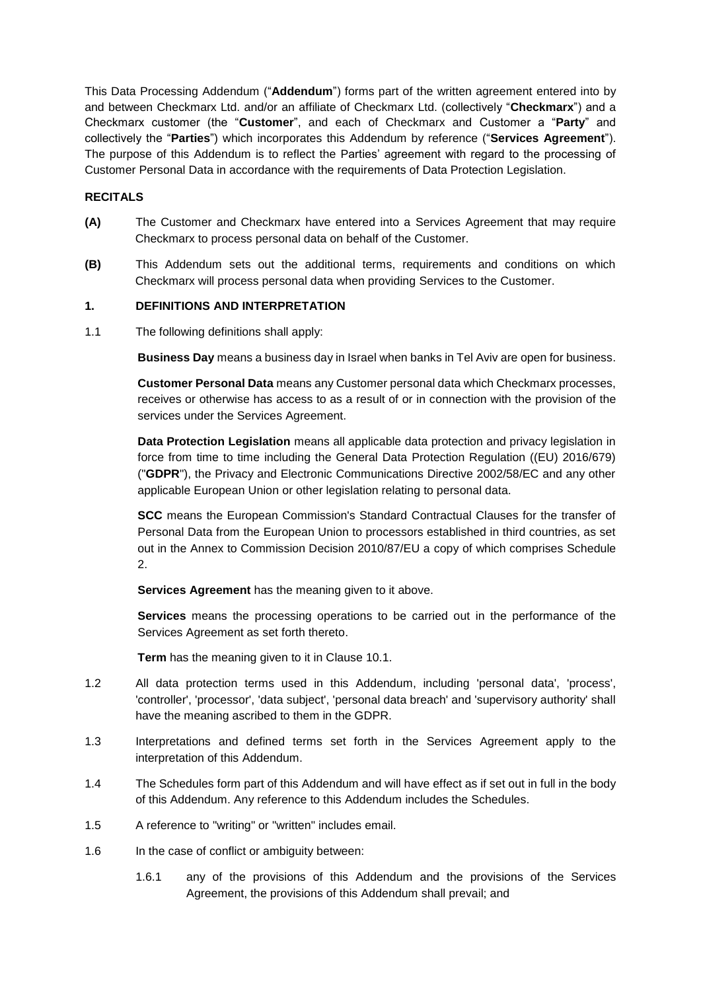This Data Processing Addendum ("**Addendum**") forms part of the written agreement entered into by and between Checkmarx Ltd. and/or an affiliate of Checkmarx Ltd. (collectively "**Checkmarx**") and a Checkmarx customer (the "**Customer**", and each of Checkmarx and Customer a "**Party**" and collectively the "**Parties**") which incorporates this Addendum by reference ("**Services Agreement**"). The purpose of this Addendum is to reflect the Parties' agreement with regard to the processing of Customer Personal Data in accordance with the requirements of Data Protection Legislation.

# **RECITALS**

- **(A)** The Customer and Checkmarx have entered into a Services Agreement that may require Checkmarx to process personal data on behalf of the Customer.
- **(B)** This Addendum sets out the additional terms, requirements and conditions on which Checkmarx will process personal data when providing Services to the Customer.

### **1. DEFINITIONS AND INTERPRETATION**

1.1 The following definitions shall apply:

**Business Day** means a business day in Israel when banks in Tel Aviv are open for business.

**Customer Personal Data** means any Customer personal data which Checkmarx processes, receives or otherwise has access to as a result of or in connection with the provision of the services under the Services Agreement.

**Data Protection Legislation** means all applicable data protection and privacy legislation in force from time to time including the General Data Protection Regulation ((EU) 2016/679) ("**GDPR**"), the Privacy and Electronic Communications Directive 2002/58/EC and any other applicable European Union or other legislation relating to personal data.

**SCC** means the European Commission's Standard Contractual Clauses for the transfer of Personal Data from the European Union to processors established in third countries, as set out in the Annex to Commission Decision 2010/87/EU a copy of which comprises Schedule 2.

**Services Agreement** has the meaning given to it above.

**Services** means the processing operations to be carried out in the performance of the Services Agreement as set forth thereto.

**Term** has the meaning given to it in Clause [10.1.](#page-4-0)

- 1.2 All data protection terms used in this Addendum, including 'personal data', 'process', 'controller', 'processor', 'data subject', 'personal data breach' and 'supervisory authority' shall have the meaning ascribed to them in the GDPR.
- 1.3 Interpretations and defined terms set forth in the Services Agreement apply to the interpretation of this Addendum.
- 1.4 The Schedules form part of this Addendum and will have effect as if set out in full in the body of this Addendum. Any reference to this Addendum includes the Schedules.
- 1.5 A reference to "writing" or "written" includes email.
- 1.6 In the case of conflict or ambiguity between:
	- 1.6.1 any of the provisions of this Addendum and the provisions of the Services Agreement, the provisions of this Addendum shall prevail; and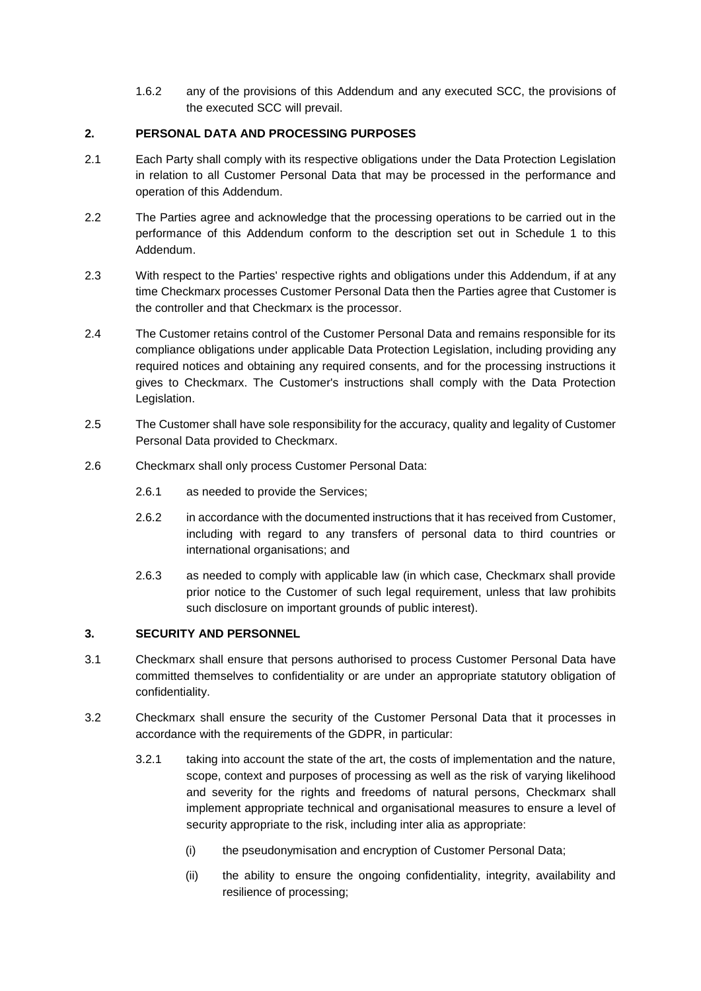1.6.2 any of the provisions of this Addendum and any executed SCC, the provisions of the executed SCC will prevail.

# **2. PERSONAL DATA AND PROCESSING PURPOSES**

- 2.1 Each Party shall comply with its respective obligations under the Data Protection Legislation in relation to all Customer Personal Data that may be processed in the performance and operation of this Addendum.
- 2.2 The Parties agree and acknowledge that the processing operations to be carried out in the performance of this Addendum conform to the description set out in Schedule 1 to this Addendum.
- 2.3 With respect to the Parties' respective rights and obligations under this Addendum, if at any time Checkmarx processes Customer Personal Data then the Parties agree that Customer is the controller and that Checkmarx is the processor.
- 2.4 The Customer retains control of the Customer Personal Data and remains responsible for its compliance obligations under applicable Data Protection Legislation, including providing any required notices and obtaining any required consents, and for the processing instructions it gives to Checkmarx. The Customer's instructions shall comply with the Data Protection Legislation.
- 2.5 The Customer shall have sole responsibility for the accuracy, quality and legality of Customer Personal Data provided to Checkmarx.
- 2.6 Checkmarx shall only process Customer Personal Data:
	- 2.6.1 as needed to provide the Services;
	- 2.6.2 in accordance with the documented instructions that it has received from Customer, including with regard to any transfers of personal data to third countries or international organisations; and
	- 2.6.3 as needed to comply with applicable law (in which case, Checkmarx shall provide prior notice to the Customer of such legal requirement, unless that law prohibits such disclosure on important grounds of public interest).

### **3. SECURITY AND PERSONNEL**

- 3.1 Checkmarx shall ensure that persons authorised to process Customer Personal Data have committed themselves to confidentiality or are under an appropriate statutory obligation of confidentiality.
- 3.2 Checkmarx shall ensure the security of the Customer Personal Data that it processes in accordance with the requirements of the GDPR, in particular:
	- 3.2.1 taking into account the state of the art, the costs of implementation and the nature, scope, context and purposes of processing as well as the risk of varying likelihood and severity for the rights and freedoms of natural persons, Checkmarx shall implement appropriate technical and organisational measures to ensure a level of security appropriate to the risk, including inter alia as appropriate:
		- (i) the pseudonymisation and encryption of Customer Personal Data;
		- (ii) the ability to ensure the ongoing confidentiality, integrity, availability and resilience of processing;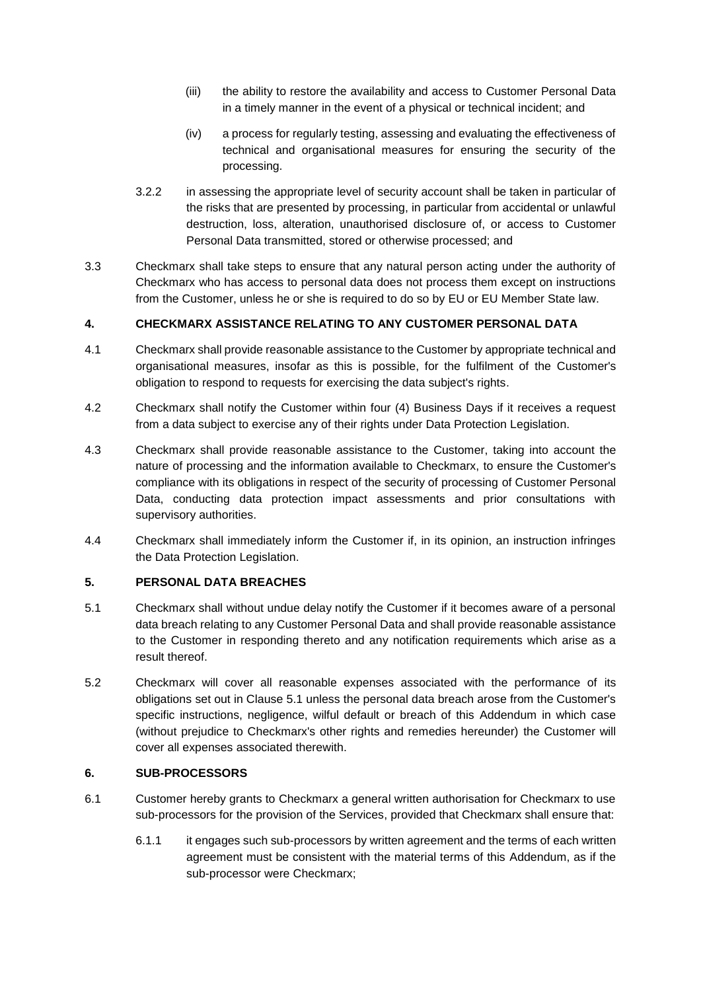- (iii) the ability to restore the availability and access to Customer Personal Data in a timely manner in the event of a physical or technical incident; and
- (iv) a process for regularly testing, assessing and evaluating the effectiveness of technical and organisational measures for ensuring the security of the processing.
- 3.2.2 in assessing the appropriate level of security account shall be taken in particular of the risks that are presented by processing, in particular from accidental or unlawful destruction, loss, alteration, unauthorised disclosure of, or access to Customer Personal Data transmitted, stored or otherwise processed; and
- 3.3 Checkmarx shall take steps to ensure that any natural person acting under the authority of Checkmarx who has access to personal data does not process them except on instructions from the Customer, unless he or she is required to do so by EU or EU Member State law.

# **4. CHECKMARX ASSISTANCE RELATING TO ANY CUSTOMER PERSONAL DATA**

- 4.1 Checkmarx shall provide reasonable assistance to the Customer by appropriate technical and organisational measures, insofar as this is possible, for the fulfilment of the Customer's obligation to respond to requests for exercising the data subject's rights.
- 4.2 Checkmarx shall notify the Customer within four (4) Business Days if it receives a request from a data subject to exercise any of their rights under Data Protection Legislation.
- 4.3 Checkmarx shall provide reasonable assistance to the Customer, taking into account the nature of processing and the information available to Checkmarx, to ensure the Customer's compliance with its obligations in respect of the security of processing of Customer Personal Data, conducting data protection impact assessments and prior consultations with supervisory authorities.
- 4.4 Checkmarx shall immediately inform the Customer if, in its opinion, an instruction infringes the Data Protection Legislation.

### **5. PERSONAL DATA BREACHES**

- <span id="page-2-0"></span>5.1 Checkmarx shall without undue delay notify the Customer if it becomes aware of a personal data breach relating to any Customer Personal Data and shall provide reasonable assistance to the Customer in responding thereto and any notification requirements which arise as a result thereof.
- 5.2 Checkmarx will cover all reasonable expenses associated with the performance of its obligations set out in Clause [5.1](#page-2-0) unless the personal data breach arose from the Customer's specific instructions, negligence, wilful default or breach of this Addendum in which case (without prejudice to Checkmarx's other rights and remedies hereunder) the Customer will cover all expenses associated therewith.

### <span id="page-2-1"></span>**6. SUB-PROCESSORS**

- 6.1 Customer hereby grants to Checkmarx a general written authorisation for Checkmarx to use sub-processors for the provision of the Services, provided that Checkmarx shall ensure that:
	- 6.1.1 it engages such sub-processors by written agreement and the terms of each written agreement must be consistent with the material terms of this Addendum, as if the sub-processor were Checkmarx;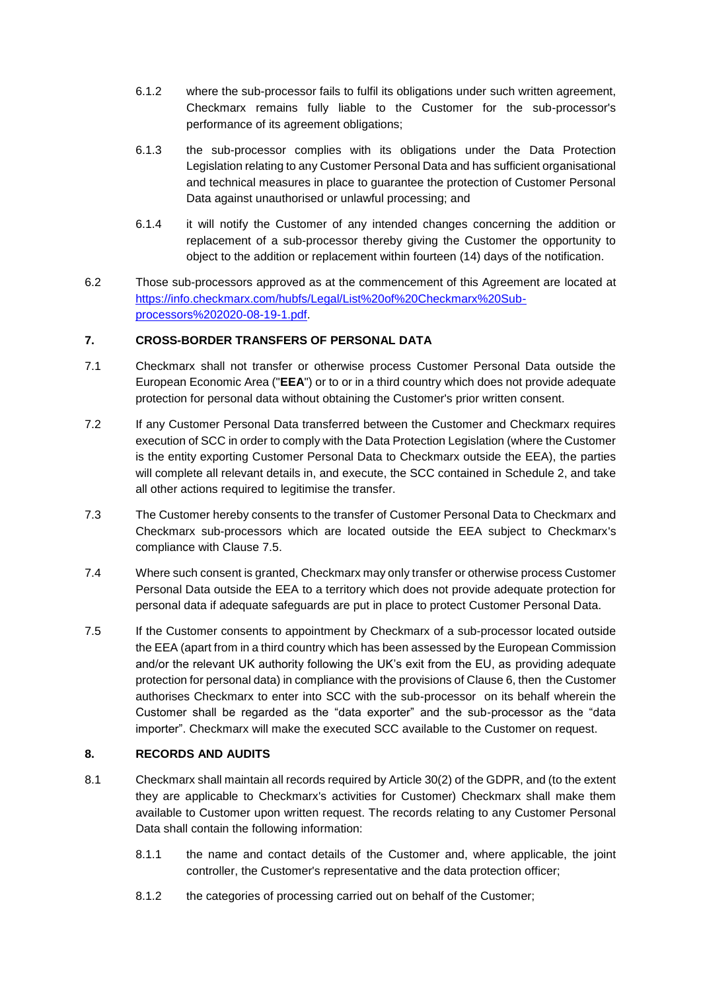- 6.1.2 where the sub-processor fails to fulfil its obligations under such written agreement, Checkmarx remains fully liable to the Customer for the sub-processor's performance of its agreement obligations;
- 6.1.3 the sub-processor complies with its obligations under the Data Protection Legislation relating to any Customer Personal Data and has sufficient organisational and technical measures in place to guarantee the protection of Customer Personal Data against unauthorised or unlawful processing; and
- 6.1.4 it will notify the Customer of any intended changes concerning the addition or replacement of a sub-processor thereby giving the Customer the opportunity to object to the addition or replacement within fourteen (14) days of the notification.
- 6.2 Those sub-processors approved as at the commencement of this Agreement are located at [https://info.checkmarx.com/hubfs/Legal/List%20of%20Checkmarx%20Sub](https://info.checkmarx.com/hubfs/Legal/List%20of%20Checkmarx%20Sub-processors%202020-08-19-1.pdf)[processors%202020-08-19-1.pdf.](https://info.checkmarx.com/hubfs/Legal/List%20of%20Checkmarx%20Sub-processors%202020-08-19-1.pdf)

# **7. CROSS-BORDER TRANSFERS OF PERSONAL DATA**

- 7.1 Checkmarx shall not transfer or otherwise process Customer Personal Data outside the European Economic Area ("**EEA**") or to or in a third country which does not provide adequate protection for personal data without obtaining the Customer's prior written consent.
- 7.2 If any Customer Personal Data transferred between the Customer and Checkmarx requires execution of SCC in order to comply with the Data Protection Legislation (where the Customer is the entity exporting Customer Personal Data to Checkmarx outside the EEA), the parties will complete all relevant details in, and execute, the SCC contained in Schedule 2, and take all other actions required to legitimise the transfer.
- 7.3 The Customer hereby consents to the transfer of Customer Personal Data to Checkmarx and Checkmarx sub-processors which are located outside the EEA subject to Checkmarx's compliance with Clause [7.5.](#page-3-0)
- 7.4 Where such consent is granted, Checkmarx may only transfer or otherwise process Customer Personal Data outside the EEA to a territory which does not provide adequate protection for personal data if adequate safeguards are put in place to protect Customer Personal Data.
- <span id="page-3-0"></span>7.5 If the Customer consents to appointment by Checkmarx of a sub-processor located outside the EEA (apart from in a third country which has been assessed by the European Commission and/or the relevant UK authority following the UK's exit from the EU, as providing adequate protection for personal data) in compliance with the provisions of Clause [6,](#page-2-1) then the Customer authorises Checkmarx to enter into SCC with the sub-processor on its behalf wherein the Customer shall be regarded as the "data exporter" and the sub-processor as the "data importer". Checkmarx will make the executed SCC available to the Customer on request.

### **8. RECORDS AND AUDITS**

- 8.1 Checkmarx shall maintain all records required by Article 30(2) of the GDPR, and (to the extent they are applicable to Checkmarx's activities for Customer) Checkmarx shall make them available to Customer upon written request. The records relating to any Customer Personal Data shall contain the following information:
	- 8.1.1 the name and contact details of the Customer and, where applicable, the joint controller, the Customer's representative and the data protection officer;
	- 8.1.2 the categories of processing carried out on behalf of the Customer;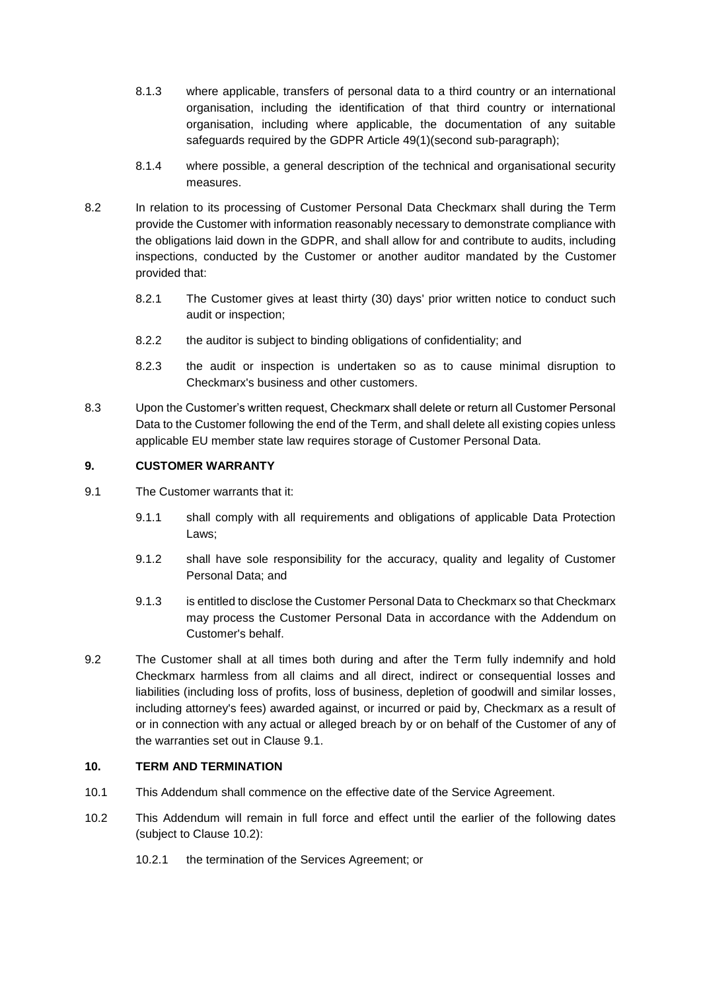- 8.1.3 where applicable, transfers of personal data to a third country or an international organisation, including the identification of that third country or international organisation, including where applicable, the documentation of any suitable safeguards required by the GDPR Article 49(1)(second sub-paragraph);
- 8.1.4 where possible, a general description of the technical and organisational security measures.
- 8.2 In relation to its processing of Customer Personal Data Checkmarx shall during the Term provide the Customer with information reasonably necessary to demonstrate compliance with the obligations laid down in the GDPR, and shall allow for and contribute to audits, including inspections, conducted by the Customer or another auditor mandated by the Customer provided that:
	- 8.2.1 The Customer gives at least thirty (30) days' prior written notice to conduct such audit or inspection;
	- 8.2.2 the auditor is subject to binding obligations of confidentiality; and
	- 8.2.3 the audit or inspection is undertaken so as to cause minimal disruption to Checkmarx's business and other customers.
- 8.3 Upon the Customer's written request, Checkmarx shall delete or return all Customer Personal Data to the Customer following the end of the Term, and shall delete all existing copies unless applicable EU member state law requires storage of Customer Personal Data.

### **9. CUSTOMER WARRANTY**

- <span id="page-4-1"></span>9.1 The Customer warrants that it:
	- 9.1.1 shall comply with all requirements and obligations of applicable Data Protection Laws;
	- 9.1.2 shall have sole responsibility for the accuracy, quality and legality of Customer Personal Data; and
	- 9.1.3 is entitled to disclose the Customer Personal Data to Checkmarx so that Checkmarx may process the Customer Personal Data in accordance with the Addendum on Customer's behalf.
- 9.2 The Customer shall at all times both during and after the Term fully indemnify and hold Checkmarx harmless from all claims and all direct, indirect or consequential losses and liabilities (including loss of profits, loss of business, depletion of goodwill and similar losses, including attorney's fees) awarded against, or incurred or paid by, Checkmarx as a result of or in connection with any actual or alleged breach by or on behalf of the Customer of any of the warranties set out in Clause [9.1.](#page-4-1)

## **10. TERM AND TERMINATION**

- <span id="page-4-0"></span>10.1 This Addendum shall commence on the effective date of the Service Agreement.
- <span id="page-4-2"></span>10.2 This Addendum will remain in full force and effect until the earlier of the following dates (subject to Clause [10.2\)](#page-4-2):
	- 10.2.1 the termination of the Services Agreement; or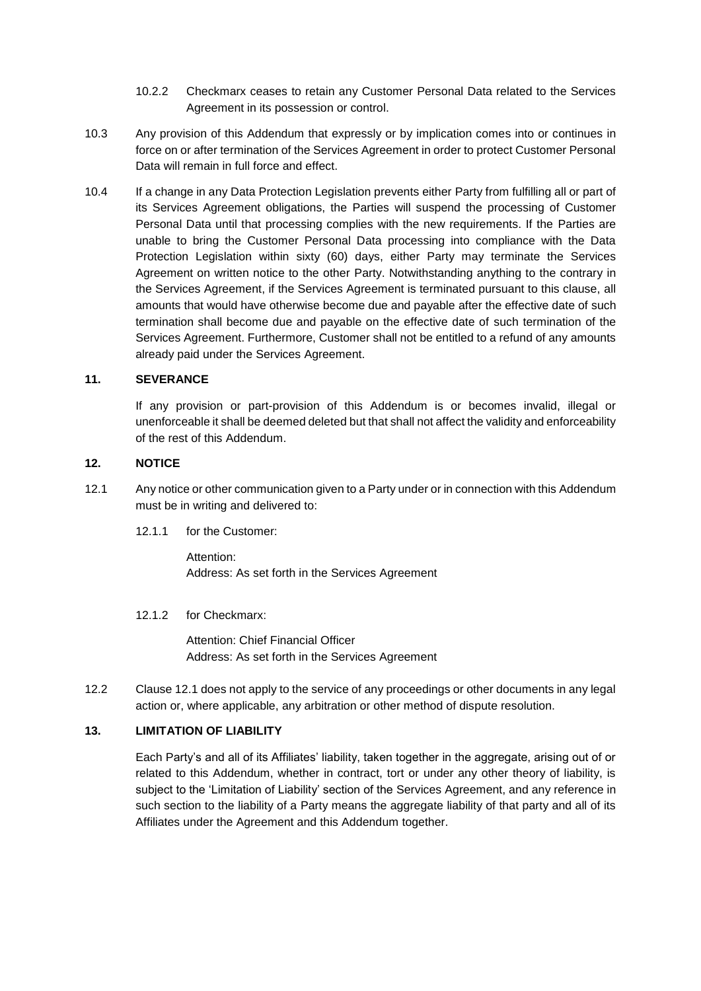- 10.2.2 Checkmarx ceases to retain any Customer Personal Data related to the Services Agreement in its possession or control.
- 10.3 Any provision of this Addendum that expressly or by implication comes into or continues in force on or after termination of the Services Agreement in order to protect Customer Personal Data will remain in full force and effect.
- 10.4 If a change in any Data Protection Legislation prevents either Party from fulfilling all or part of its Services Agreement obligations, the Parties will suspend the processing of Customer Personal Data until that processing complies with the new requirements. If the Parties are unable to bring the Customer Personal Data processing into compliance with the Data Protection Legislation within sixty (60) days, either Party may terminate the Services Agreement on written notice to the other Party. Notwithstanding anything to the contrary in the Services Agreement, if the Services Agreement is terminated pursuant to this clause, all amounts that would have otherwise become due and payable after the effective date of such termination shall become due and payable on the effective date of such termination of the Services Agreement. Furthermore, Customer shall not be entitled to a refund of any amounts already paid under the Services Agreement.

### **11. SEVERANCE**

If any provision or part-provision of this Addendum is or becomes invalid, illegal or unenforceable it shall be deemed deleted but that shall not affect the validity and enforceability of the rest of this Addendum.

### **12. NOTICE**

- <span id="page-5-0"></span>12.1 Any notice or other communication given to a Party under or in connection with this Addendum must be in writing and delivered to:
	- 12.1.1 for the Customer:

Attention: Address: As set forth in the Services Agreement

#### 12.1.2 for Checkmarx:

Attention: Chief Financial Officer Address: As set forth in the Services Agreement

12.2 Clause [12.1](#page-5-0) does not apply to the service of any proceedings or other documents in any legal action or, where applicable, any arbitration or other method of dispute resolution.

# **13. LIMITATION OF LIABILITY**

Each Party's and all of its Affiliates' liability, taken together in the aggregate, arising out of or related to this Addendum, whether in contract, tort or under any other theory of liability, is subject to the 'Limitation of Liability' section of the Services Agreement, and any reference in such section to the liability of a Party means the aggregate liability of that party and all of its Affiliates under the Agreement and this Addendum together.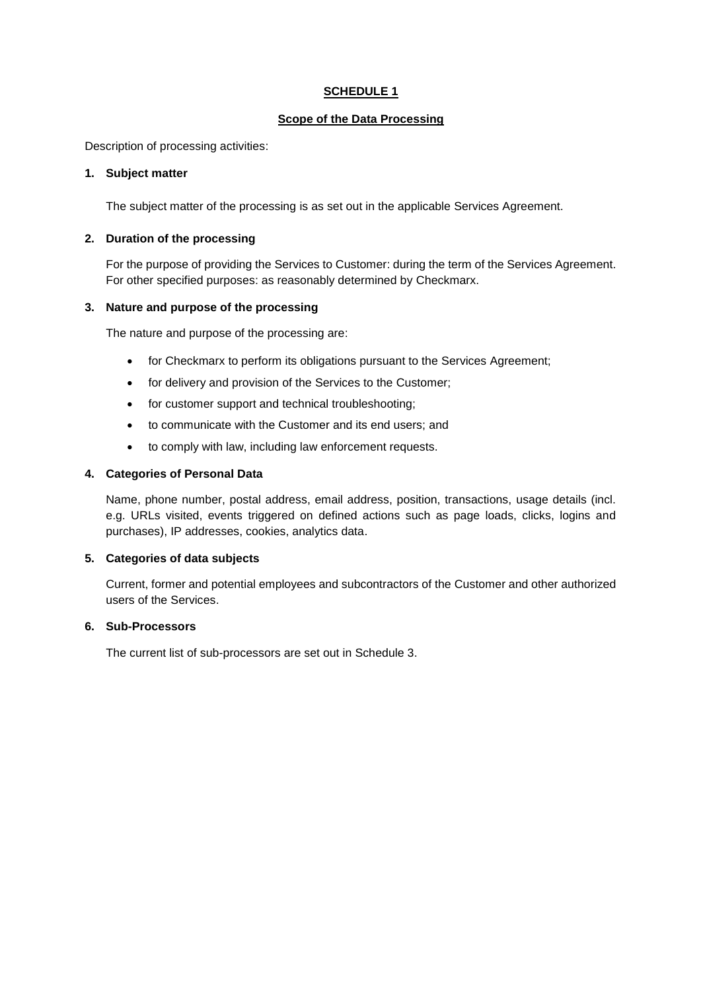# **SCHEDULE 1**

## **Scope of the Data Processing**

Description of processing activities:

### **1. Subject matter**

The subject matter of the processing is as set out in the applicable Services Agreement.

### **2. Duration of the processing**

For the purpose of providing the Services to Customer: during the term of the Services Agreement. For other specified purposes: as reasonably determined by Checkmarx.

### **3. Nature and purpose of the processing**

The nature and purpose of the processing are:

- for Checkmarx to perform its obligations pursuant to the Services Agreement;
- for delivery and provision of the Services to the Customer;
- for customer support and technical troubleshooting;
- to communicate with the Customer and its end users; and
- to comply with law, including law enforcement requests.

### **4. Categories of Personal Data**

Name, phone number, postal address, email address, position, transactions, usage details (incl. e.g. URLs visited, events triggered on defined actions such as page loads, clicks, logins and purchases), IP addresses, cookies, analytics data.

#### **5. Categories of data subjects**

Current, former and potential employees and subcontractors of the Customer and other authorized users of the Services.

### **6. Sub-Processors**

The current list of sub-processors are set out in Schedule 3.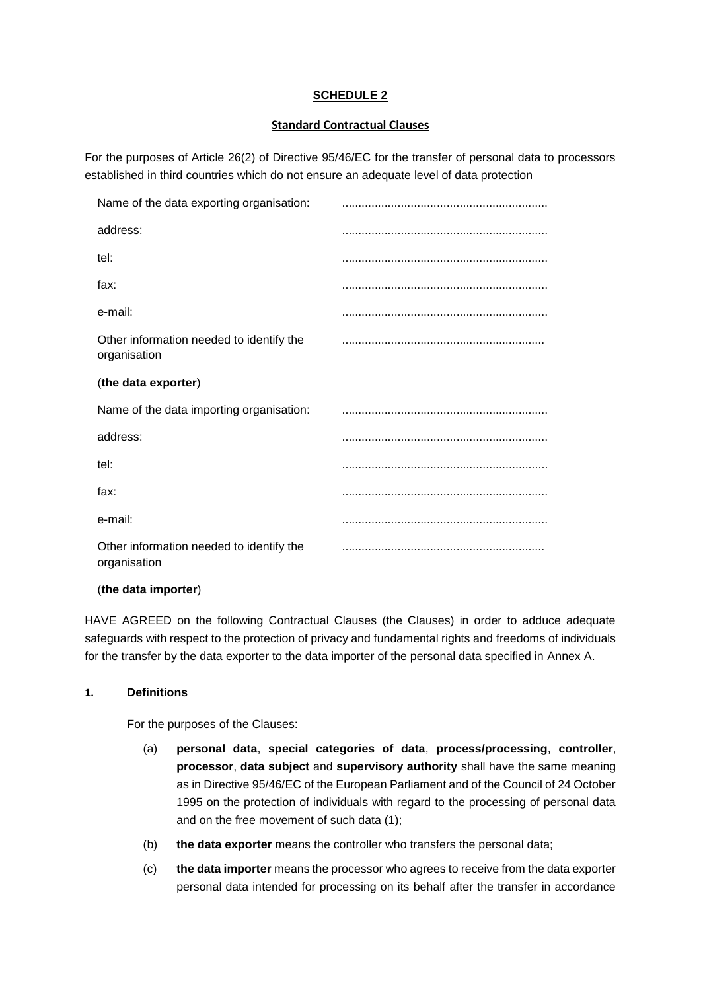# **SCHEDULE 2**

### **Standard Contractual Clauses**

For the purposes of Article 26(2) of Directive 95/46/EC for the transfer of personal data to processors established in third countries which do not ensure an adequate level of data protection

| Name of the data exporting organisation:                 |  |
|----------------------------------------------------------|--|
| address:                                                 |  |
| tel:                                                     |  |
| fax:                                                     |  |
| e-mail:                                                  |  |
| Other information needed to identify the<br>organisation |  |
| (the data exporter)                                      |  |
| Name of the data importing organisation:                 |  |
| address:                                                 |  |
| tel:                                                     |  |
| fax:                                                     |  |
| e-mail:                                                  |  |
| Other information needed to identify the<br>organisation |  |

#### (**the data importer**)

HAVE AGREED on the following Contractual Clauses (the Clauses) in order to adduce adequate safeguards with respect to the protection of privacy and fundamental rights and freedoms of individuals for the transfer by the data exporter to the data importer of the personal data specified in [Annex A.](#page-15-0)

# **1. Definitions**

For the purposes of the Clauses:

- (a) **personal data**, **special categories of data**, **process/processing**, **controller**, **processor**, **data subject** and **supervisory authority** shall have the same meaning as in Directive 95/46/EC of the European Parliament and of the Council of 24 October 1995 on the protection of individuals with regard to the processing of personal data and on the free movement of such data (1);
- (b) **the data exporter** means the controller who transfers the personal data;
- (c) **the data importer** means the processor who agrees to receive from the data exporter personal data intended for processing on its behalf after the transfer in accordance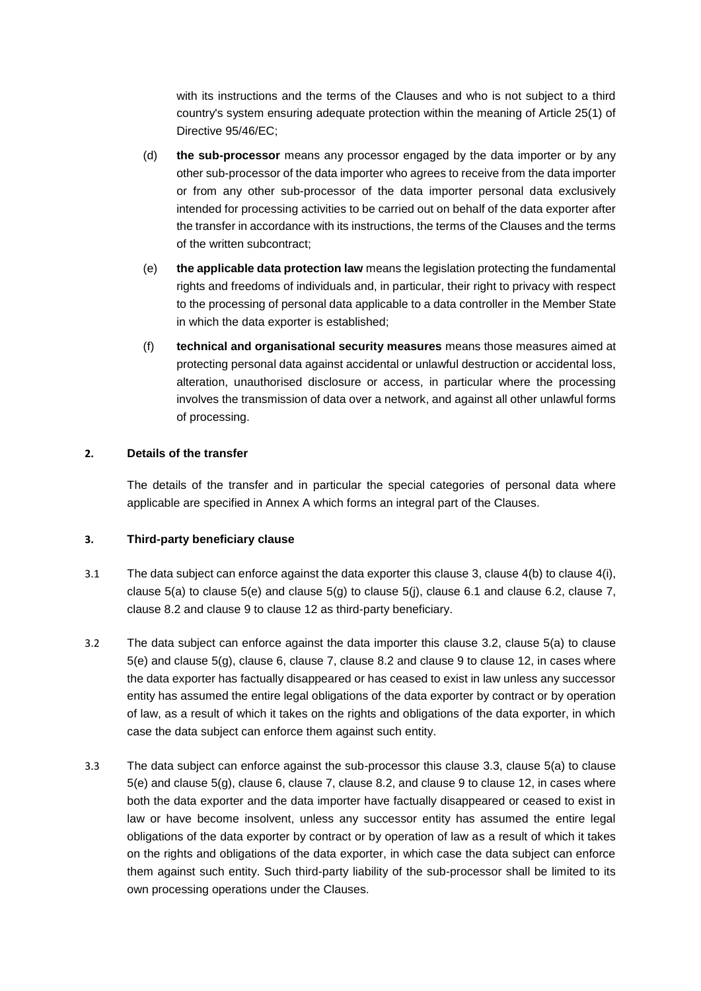with its instructions and the terms of the Clauses and who is not subject to a third country's system ensuring adequate protection within the meaning of Article 25(1) of Directive 95/46/EC;

- (d) **the sub-processor** means any processor engaged by the data importer or by any other sub-processor of the data importer who agrees to receive from the data importer or from any other sub-processor of the data importer personal data exclusively intended for processing activities to be carried out on behalf of the data exporter after the transfer in accordance with its instructions, the terms of the Clauses and the terms of the written subcontract;
- (e) **the applicable data protection law** means the legislation protecting the fundamental rights and freedoms of individuals and, in particular, their right to privacy with respect to the processing of personal data applicable to a data controller in the Member State in which the data exporter is established;
- (f) **technical and organisational security measures** means those measures aimed at protecting personal data against accidental or unlawful destruction or accidental loss, alteration, unauthorised disclosure or access, in particular where the processing involves the transmission of data over a network, and against all other unlawful forms of processing.

### **2. Details of the transfer**

The details of the transfer and in particular the special categories of personal data where applicable are specified in [Annex A](#page-15-0) which forms an integral part of the Clauses.

#### <span id="page-8-0"></span>**3. Third-party beneficiary clause**

- 3.1 The data subject can enforce against the data exporter this clause [3,](#page-8-0) clause [4\(b\)](#page-9-0) to clause [4\(i\),](#page-9-1) clause [5\(a\)](#page-10-0) to clause [5\(e\)](#page-10-1) and clause [5\(g\)](#page-10-2) to clause [5\(j\),](#page-11-0) clause [6.1](#page-11-1) and clause [6.2,](#page-11-2) clause [7,](#page-11-3) clause [8.2](#page-12-0) and clause [9](#page-12-1) to clause [12](#page-13-0) as third-party beneficiary.
- <span id="page-8-1"></span>3.2 The data subject can enforce against the data importer this clause [3.2,](#page-8-1) clause [5\(a\)](#page-10-0) to clause [5\(e\)](#page-10-1) and clause [5\(g\),](#page-10-2) clause [6,](#page-11-4) clause [7,](#page-11-3) clause [8.2](#page-12-0) and clause [9](#page-12-1) to clause [12,](#page-13-0) in cases where the data exporter has factually disappeared or has ceased to exist in law unless any successor entity has assumed the entire legal obligations of the data exporter by contract or by operation of law, as a result of which it takes on the rights and obligations of the data exporter, in which case the data subject can enforce them against such entity.
- <span id="page-8-2"></span>3.3 The data subject can enforce against the sub-processor this clause [3.3,](#page-8-2) clause [5\(a\)](#page-10-0) to clause [5\(e\)](#page-10-1) and clause [5\(g\),](#page-10-2) clause [6,](#page-11-4) clause [7,](#page-11-3) clause [8.2,](#page-12-0) and clause [9](#page-12-1) to clause [12,](#page-13-0) in cases where both the data exporter and the data importer have factually disappeared or ceased to exist in law or have become insolvent, unless any successor entity has assumed the entire legal obligations of the data exporter by contract or by operation of law as a result of which it takes on the rights and obligations of the data exporter, in which case the data subject can enforce them against such entity. Such third-party liability of the sub-processor shall be limited to its own processing operations under the Clauses.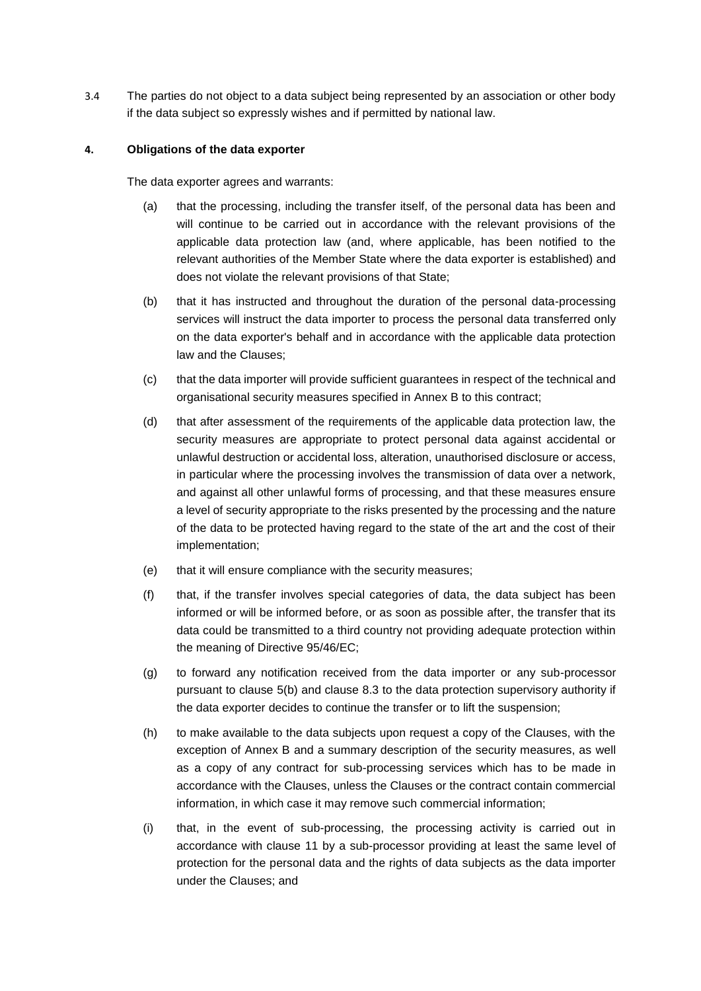3.4 The parties do not object to a data subject being represented by an association or other body if the data subject so expressly wishes and if permitted by national law.

### **4. Obligations of the data exporter**

<span id="page-9-2"></span>The data exporter agrees and warrants:

- (a) that the processing, including the transfer itself, of the personal data has been and will continue to be carried out in accordance with the relevant provisions of the applicable data protection law (and, where applicable, has been notified to the relevant authorities of the Member State where the data exporter is established) and does not violate the relevant provisions of that State;
- <span id="page-9-0"></span>(b) that it has instructed and throughout the duration of the personal data-processing services will instruct the data importer to process the personal data transferred only on the data exporter's behalf and in accordance with the applicable data protection law and the Clauses;
- (c) that the data importer will provide sufficient guarantees in respect of the technical and organisational security measures specified in [Annex B](#page-16-0) to this contract;
- <span id="page-9-3"></span>(d) that after assessment of the requirements of the applicable data protection law, the security measures are appropriate to protect personal data against accidental or unlawful destruction or accidental loss, alteration, unauthorised disclosure or access, in particular where the processing involves the transmission of data over a network, and against all other unlawful forms of processing, and that these measures ensure a level of security appropriate to the risks presented by the processing and the nature of the data to be protected having regard to the state of the art and the cost of their implementation;
- (e) that it will ensure compliance with the security measures;
- (f) that, if the transfer involves special categories of data, the data subject has been informed or will be informed before, or as soon as possible after, the transfer that its data could be transmitted to a third country not providing adequate protection within the meaning of Directive 95/46/EC;
- (g) to forward any notification received from the data importer or any sub-processor pursuant to clause [5\(b\)](#page-10-3) and clause [8.3](#page-12-2) to the data protection supervisory authority if the data exporter decides to continue the transfer or to lift the suspension;
- (h) to make available to the data subjects upon request a copy of the Clauses, with the exception of [Annex B](#page-16-0) and a summary description of the security measures, as well as a copy of any contract for sub-processing services which has to be made in accordance with the Clauses, unless the Clauses or the contract contain commercial information, in which case it may remove such commercial information;
- <span id="page-9-1"></span>(i) that, in the event of sub-processing, the processing activity is carried out in accordance with clause [11](#page-12-3) by a sub-processor providing at least the same level of protection for the personal data and the rights of data subjects as the data importer under the Clauses; and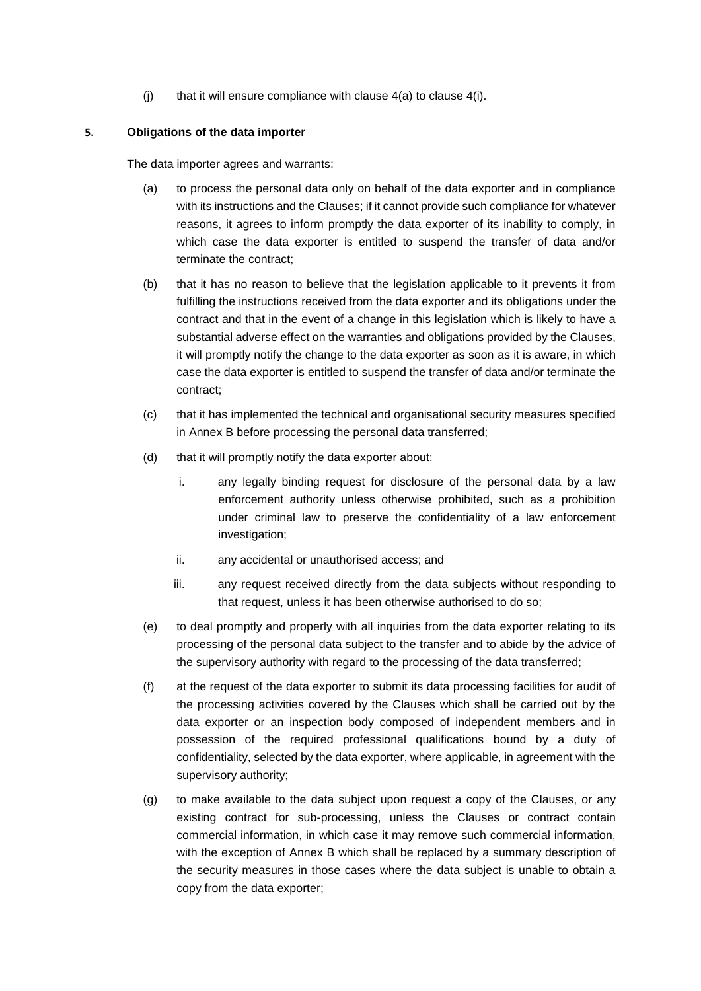(i) that it will ensure compliance with clause  $4(a)$  to clause  $4(i)$ .

## **5. Obligations of the data importer**

<span id="page-10-0"></span>The data importer agrees and warrants:

- (a) to process the personal data only on behalf of the data exporter and in compliance with its instructions and the Clauses; if it cannot provide such compliance for whatever reasons, it agrees to inform promptly the data exporter of its inability to comply, in which case the data exporter is entitled to suspend the transfer of data and/or terminate the contract;
- <span id="page-10-3"></span>(b) that it has no reason to believe that the legislation applicable to it prevents it from fulfilling the instructions received from the data exporter and its obligations under the contract and that in the event of a change in this legislation which is likely to have a substantial adverse effect on the warranties and obligations provided by the Clauses, it will promptly notify the change to the data exporter as soon as it is aware, in which case the data exporter is entitled to suspend the transfer of data and/or terminate the contract;
- <span id="page-10-4"></span>(c) that it has implemented the technical and organisational security measures specified in [Annex B](#page-16-0) before processing the personal data transferred;
- (d) that it will promptly notify the data exporter about:
	- i. any legally binding request for disclosure of the personal data by a law enforcement authority unless otherwise prohibited, such as a prohibition under criminal law to preserve the confidentiality of a law enforcement investigation;
	- ii. any accidental or unauthorised access; and
	- iii. any request received directly from the data subjects without responding to that request, unless it has been otherwise authorised to do so;
- <span id="page-10-1"></span>(e) to deal promptly and properly with all inquiries from the data exporter relating to its processing of the personal data subject to the transfer and to abide by the advice of the supervisory authority with regard to the processing of the data transferred;
- (f) at the request of the data exporter to submit its data processing facilities for audit of the processing activities covered by the Clauses which shall be carried out by the data exporter or an inspection body composed of independent members and in possession of the required professional qualifications bound by a duty of confidentiality, selected by the data exporter, where applicable, in agreement with the supervisory authority;
- <span id="page-10-2"></span>(g) to make available to the data subject upon request a copy of the Clauses, or any existing contract for sub-processing, unless the Clauses or contract contain commercial information, in which case it may remove such commercial information, with the exception of [Annex B](#page-16-0) which shall be replaced by a summary description of the security measures in those cases where the data subject is unable to obtain a copy from the data exporter;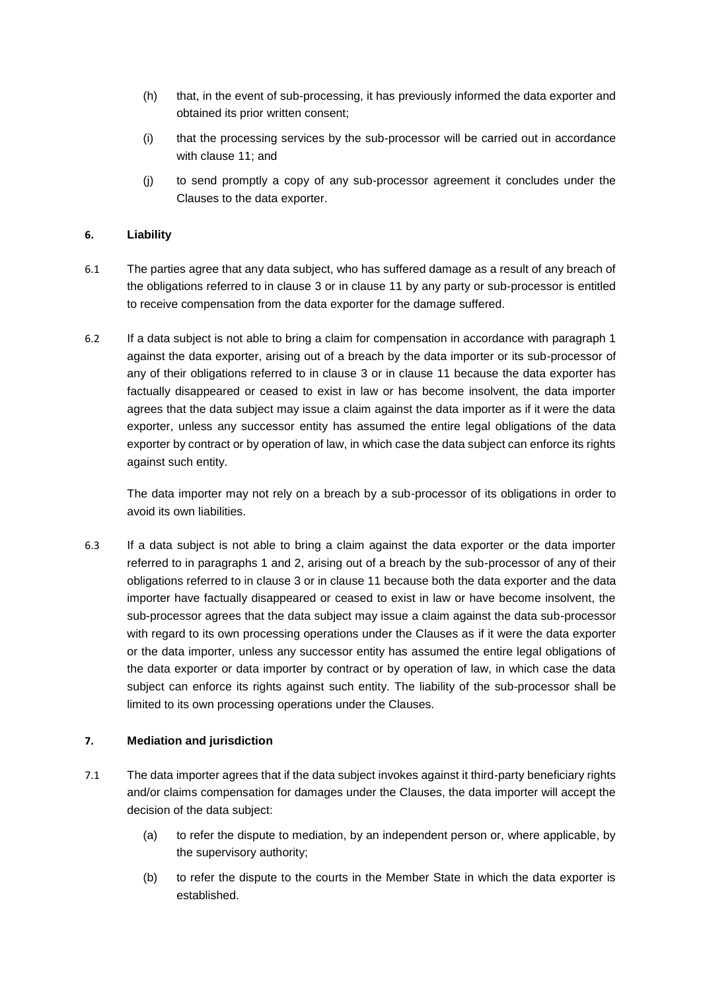- (h) that, in the event of sub-processing, it has previously informed the data exporter and obtained its prior written consent;
- (i) that the processing services by the sub-processor will be carried out in accordance with clause [11;](#page-12-3) and
- (j) to send promptly a copy of any sub-processor agreement it concludes under the Clauses to the data exporter.

## <span id="page-11-4"></span><span id="page-11-1"></span><span id="page-11-0"></span>**6. Liability**

- 6.1 The parties agree that any data subject, who has suffered damage as a result of any breach of the obligations referred to in clause [3](#page-8-0) or in clause [11](#page-12-3) by any party or sub-processor is entitled to receive compensation from the data exporter for the damage suffered.
- <span id="page-11-2"></span>6.2 If a data subject is not able to bring a claim for compensation in accordance with paragraph 1 against the data exporter, arising out of a breach by the data importer or its sub-processor of any of their obligations referred to in clause [3](#page-8-0) or in clause [11](#page-12-3) because the data exporter has factually disappeared or ceased to exist in law or has become insolvent, the data importer agrees that the data subject may issue a claim against the data importer as if it were the data exporter, unless any successor entity has assumed the entire legal obligations of the data exporter by contract or by operation of law, in which case the data subject can enforce its rights against such entity.

The data importer may not rely on a breach by a sub-processor of its obligations in order to avoid its own liabilities.

6.3 If a data subject is not able to bring a claim against the data exporter or the data importer referred to in paragraphs 1 and 2, arising out of a breach by the sub-processor of any of their obligations referred to in clause [3](#page-8-0) or in clause [11](#page-12-3) because both the data exporter and the data importer have factually disappeared or ceased to exist in law or have become insolvent, the sub-processor agrees that the data subject may issue a claim against the data sub-processor with regard to its own processing operations under the Clauses as if it were the data exporter or the data importer, unless any successor entity has assumed the entire legal obligations of the data exporter or data importer by contract or by operation of law, in which case the data subject can enforce its rights against such entity. The liability of the sub-processor shall be limited to its own processing operations under the Clauses.

### <span id="page-11-3"></span>**7. Mediation and jurisdiction**

- 7.1 The data importer agrees that if the data subject invokes against it third-party beneficiary rights and/or claims compensation for damages under the Clauses, the data importer will accept the decision of the data subject:
	- (a) to refer the dispute to mediation, by an independent person or, where applicable, by the supervisory authority;
	- (b) to refer the dispute to the courts in the Member State in which the data exporter is established.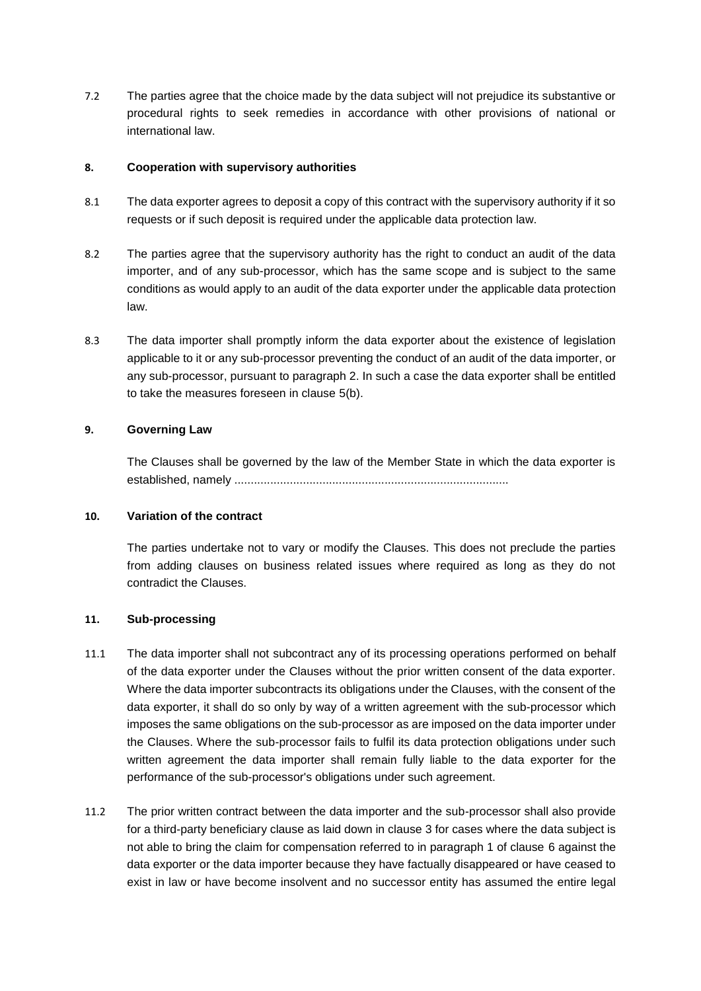7.2 The parties agree that the choice made by the data subject will not prejudice its substantive or procedural rights to seek remedies in accordance with other provisions of national or international law.

## **8. Cooperation with supervisory authorities**

- 8.1 The data exporter agrees to deposit a copy of this contract with the supervisory authority if it so requests or if such deposit is required under the applicable data protection law.
- <span id="page-12-0"></span>8.2 The parties agree that the supervisory authority has the right to conduct an audit of the data importer, and of any sub-processor, which has the same scope and is subject to the same conditions as would apply to an audit of the data exporter under the applicable data protection law.
- <span id="page-12-2"></span>8.3 The data importer shall promptly inform the data exporter about the existence of legislation applicable to it or any sub-processor preventing the conduct of an audit of the data importer, or any sub-processor, pursuant to paragraph 2. In such a case the data exporter shall be entitled to take the measures foreseen in clause [5\(b\).](#page-10-3)

# <span id="page-12-1"></span>**9. Governing Law**

The Clauses shall be governed by the law of the Member State in which the data exporter is established, namely ....................................................................................

### **10. Variation of the contract**

The parties undertake not to vary or modify the Clauses. This does not preclude the parties from adding clauses on business related issues where required as long as they do not contradict the Clauses.

### <span id="page-12-3"></span>**11. Sub-processing**

- 11.1 The data importer shall not subcontract any of its processing operations performed on behalf of the data exporter under the Clauses without the prior written consent of the data exporter. Where the data importer subcontracts its obligations under the Clauses, with the consent of the data exporter, it shall do so only by way of a written agreement with the sub-processor which imposes the same obligations on the sub-processor as are imposed on the data importer under the Clauses. Where the sub-processor fails to fulfil its data protection obligations under such written agreement the data importer shall remain fully liable to the data exporter for the performance of the sub-processor's obligations under such agreement.
- 11.2 The prior written contract between the data importer and the sub-processor shall also provide for a third-party beneficiary clause as laid down in clause [3](#page-8-0) for cases where the data subject is not able to bring the claim for compensation referred to in paragraph 1 of clause [6](#page-11-4) against the data exporter or the data importer because they have factually disappeared or have ceased to exist in law or have become insolvent and no successor entity has assumed the entire legal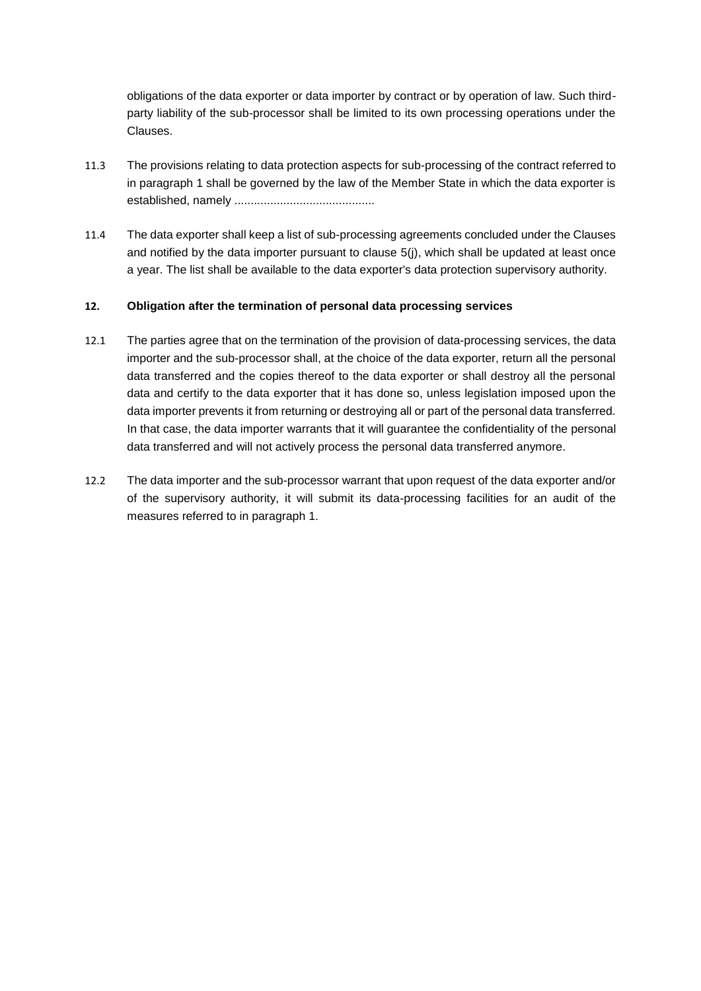obligations of the data exporter or data importer by contract or by operation of law. Such thirdparty liability of the sub-processor shall be limited to its own processing operations under the Clauses.

- 11.3 The provisions relating to data protection aspects for sub-processing of the contract referred to in paragraph 1 shall be governed by the law of the Member State in which the data exporter is established, namely ...........................................
- 11.4 The data exporter shall keep a list of sub-processing agreements concluded under the Clauses and notified by the data importer pursuant to clause [5\(j\),](#page-11-0) which shall be updated at least once a year. The list shall be available to the data exporter's data protection supervisory authority.

# <span id="page-13-0"></span>**12. Obligation after the termination of personal data processing services**

- 12.1 The parties agree that on the termination of the provision of data-processing services, the data importer and the sub-processor shall, at the choice of the data exporter, return all the personal data transferred and the copies thereof to the data exporter or shall destroy all the personal data and certify to the data exporter that it has done so, unless legislation imposed upon the data importer prevents it from returning or destroying all or part of the personal data transferred. In that case, the data importer warrants that it will guarantee the confidentiality of the personal data transferred and will not actively process the personal data transferred anymore.
- 12.2 The data importer and the sub-processor warrant that upon request of the data exporter and/or of the supervisory authority, it will submit its data-processing facilities for an audit of the measures referred to in paragraph 1.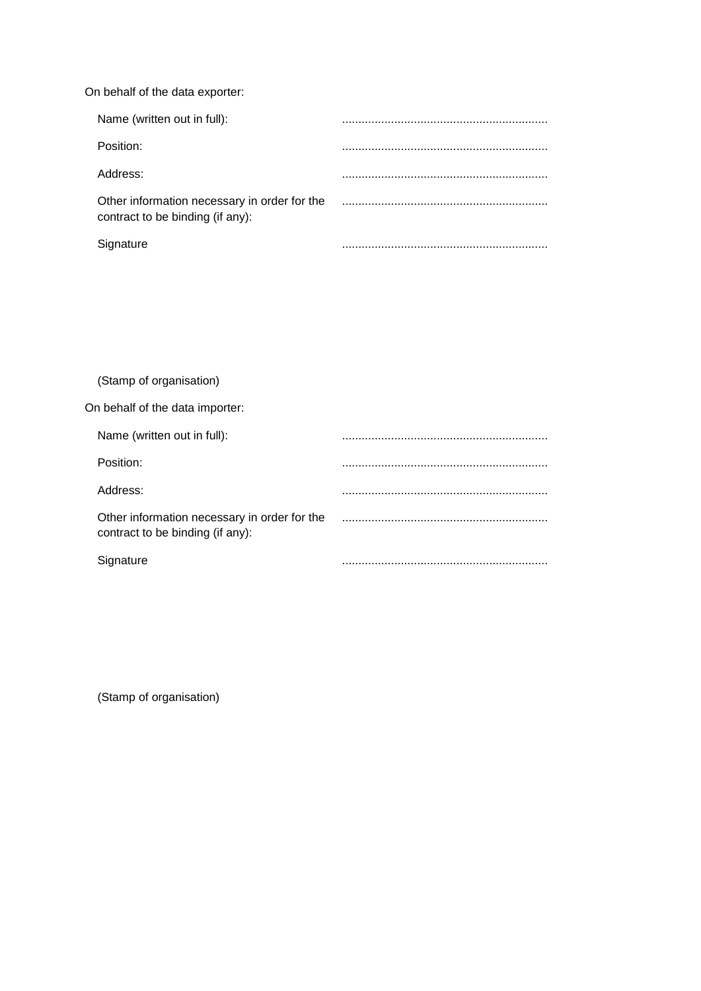On behalf of the data exporter:

| Name (written out in full):                                                      |  |
|----------------------------------------------------------------------------------|--|
| Position:                                                                        |  |
| Address:                                                                         |  |
| Other information necessary in order for the<br>contract to be binding (if any): |  |
| Signature                                                                        |  |

(Stamp of organisation)

| On behalf of the data importer: |  |  |
|---------------------------------|--|--|
|---------------------------------|--|--|

| Name (written out in full):                                                      |  |
|----------------------------------------------------------------------------------|--|
| Position:                                                                        |  |
| Address:                                                                         |  |
| Other information necessary in order for the<br>contract to be binding (if any): |  |
| Signature                                                                        |  |

(Stamp of organisation)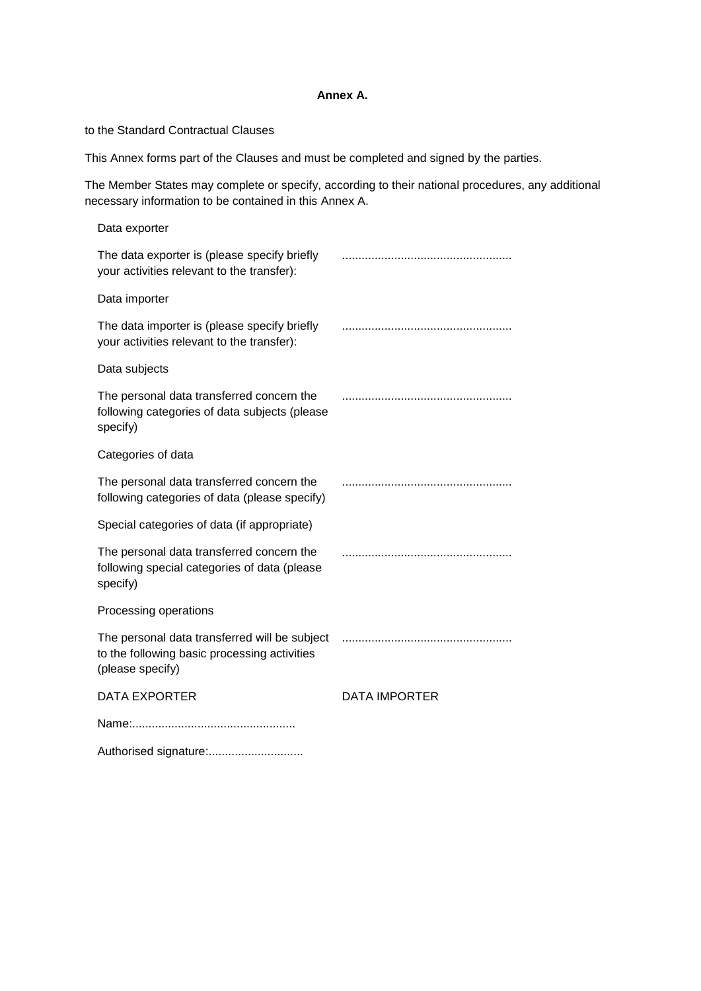#### **Annex A.**

<span id="page-15-0"></span>to the Standard Contractual Clauses

This Annex forms part of the Clauses and must be completed and signed by the parties.

The Member States may complete or specify, according to their national procedures, any additional necessary information to be contained in this [Annex A.](#page-15-0)

| Data exporter                                                                                                     |                      |
|-------------------------------------------------------------------------------------------------------------------|----------------------|
| The data exporter is (please specify briefly<br>your activities relevant to the transfer):                        |                      |
| Data importer                                                                                                     |                      |
| The data importer is (please specify briefly<br>your activities relevant to the transfer):                        |                      |
| Data subjects                                                                                                     |                      |
| The personal data transferred concern the<br>following categories of data subjects (please<br>specify)            |                      |
| Categories of data                                                                                                |                      |
| The personal data transferred concern the<br>following categories of data (please specify)                        |                      |
| Special categories of data (if appropriate)                                                                       |                      |
| The personal data transferred concern the<br>following special categories of data (please<br>specify)             |                      |
| Processing operations                                                                                             |                      |
| The personal data transferred will be subject<br>to the following basic processing activities<br>(please specify) |                      |
| <b>DATA EXPORTER</b>                                                                                              | <b>DATA IMPORTER</b> |
|                                                                                                                   |                      |
| Authorised signature:                                                                                             |                      |